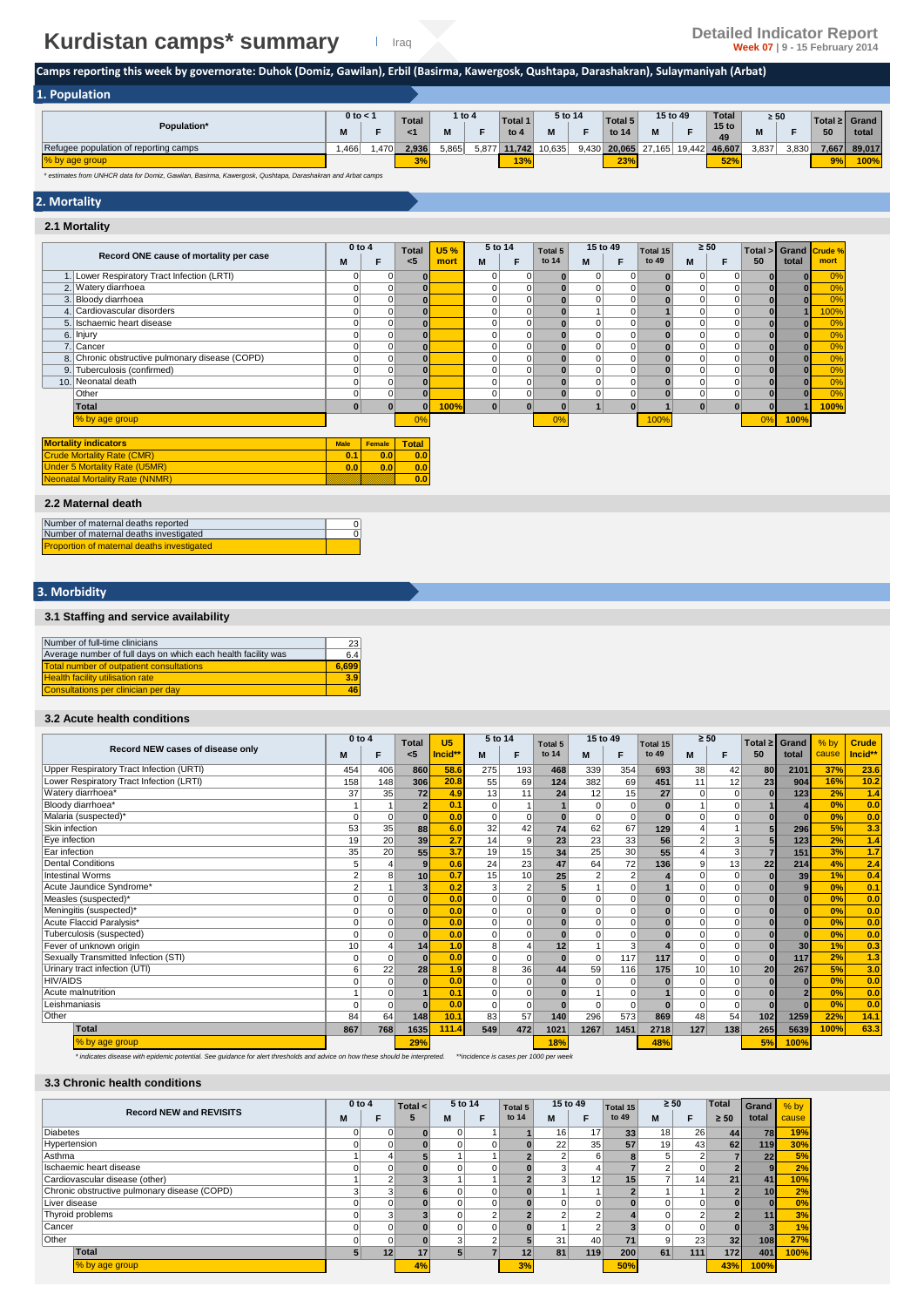# **Kurdistan camps\* summary Detailed Indicator Report Detailed Indicator Report Properties All Detailed Indicator Report**

**Camps reporting this week by governorate: Duhok (Domiz, Gawilan), Erbil (Basirma, Kawergosk, Qushtapa, Darashakran), Sulaymaniyah (Arbat)** 

| 1. Population                         |              |      |              |        |       |         |         |       |         |        |          |                        |           |       |                 |        |
|---------------------------------------|--------------|------|--------------|--------|-------|---------|---------|-------|---------|--------|----------|------------------------|-----------|-------|-----------------|--------|
|                                       | $0$ to $<$ 1 |      | <b>Total</b> | 1 to 4 |       | Total 1 | 5 to 14 |       | Total 5 |        | 15 to 49 | Total                  | $\geq 50$ |       | Total ≥ I Grand |        |
| Population*                           |              |      |              |        |       | to $4$  |         | Е     | to 14   | M      |          | 15 <sub>to</sub><br>49 | IΜ        |       | 50              | total  |
| Refugee population of reporting camps | .466         | .470 | 2.936        | 5,865  | 5,877 | 11.742  | 10.635  | 9,430 | 20.065  | 27.165 | 19.442   | 46,607                 | 3.837     | 3,830 | 7,667           | 89.017 |
| % by age group                        |              |      | 3%           |        |       | 13%     |         |       | 23%     |        |          | 52%                    |           |       | 9%              | 100%   |

*\* estimates from UNHCR data for Domiz, Gawilan, Basirma, Kawergosk, Qushtapa, Darashakran and Arbat camps*

### **2. Mortality**

#### **2.1 Mortality**

|                                   |                                                 | $0$ to $4$     |        | <b>Total</b> | <b>U5%</b> | 5 to 14 |          | Total 5 | 15 to 49     |          | $\geq 50$<br>Total 15 |             | Total >     | Grand        | Crude %      |      |
|-----------------------------------|-------------------------------------------------|----------------|--------|--------------|------------|---------|----------|---------|--------------|----------|-----------------------|-------------|-------------|--------------|--------------|------|
|                                   | Record ONE cause of mortality per case          | M              | F      | $5$          | mort       | M       | F        | to 14   | M            | F        | to 49                 | M           | F           | 50           | total        | mort |
|                                   | 1. Lower Respiratory Tract Infection (LRTI)     | 0              | 0      | $\bf{0}$     |            |         | 0        |         | $\mathbf 0$  | 0        | $\bullet$             | $\mathbf 0$ | $\mathbf 0$ |              | $\bf{0}$     | 0%   |
|                                   | 2. Watery diarrhoea                             | 0              | 0      | $\bf{0}$     |            |         | 0        |         | $\mathbf 0$  |          | $\mathbf{0}$          | 0           | $\mathbf 0$ | 0            | ΩI           | 0%   |
|                                   | 3. Bloody diarrhoea                             | $\overline{0}$ | 0      | $\bf{0}$     |            |         | $\Omega$ |         | $\Omega$     |          |                       | 0           | $\mathbf 0$ | $\mathbf{0}$ | $\Omega$     | 0%   |
|                                   | 4. Cardiovascular disorders                     | 0              | 0      |              |            |         | 0        |         |              |          |                       | 0           | $\mathbf 0$ |              |              | 100% |
|                                   | 5. Ischaemic heart disease                      | ٥I             | 0      | $\bf{0}$     |            |         | 0        |         | 0            | $\Omega$ | $\mathbf{0}$          | $\mathbf 0$ | $\mathbf 0$ | $\mathbf{0}$ | ΩI           | 0%   |
|                                   | 6. Injury                                       | $\overline{0}$ | 0      |              |            |         | 0        |         | 0            | $\Omega$ |                       | 0           | $\mathbf 0$ | $\mathbf{0}$ |              | 0%   |
|                                   | 7. Cancer                                       | 0              | 0      |              |            |         | 0        |         | 0            |          | $\mathbf{0}$          | $\mathbf 0$ | $\mathbf 0$ | $\mathbf{0}$ | OI           | 0%   |
|                                   | 8. Chronic obstructive pulmonary disease (COPD) | ٥I             | 0      | 0            |            |         | 0        |         | 0            | $\Omega$ | $\mathbf{0}$          | $\Omega$    | $\mathbf 0$ | $\mathbf{0}$ | 01           | 0%   |
|                                   | 9. Tuberculosis (confirmed)                     | $\overline{0}$ | 0      | $\bf{0}$     |            |         | $\Omega$ |         | 0            | $\Omega$ |                       | 0           | $\mathbf 0$ | $\mathbf{0}$ | $\Omega$     | 0%   |
|                                   | 10. Neonatal death                              | 0              | 0      |              |            |         | 0        |         | $\mathbf{0}$ | 0        | $\mathbf{0}$          | $\mathbf 0$ | $\mathbf 0$ | $\mathbf{0}$ |              | 0%   |
|                                   | Other                                           | 0              | 0      |              |            |         | 0        |         | 0            | 0        |                       | 0           | $\mathbf 0$ |              | $\mathbf{0}$ | 0%   |
|                                   | <b>Total</b>                                    | $\mathbf{0}$   |        | $\Omega$     | 100%       |         | O        |         |              |          |                       | $\bf{0}$    | $\Omega$    |              |              | 100% |
|                                   | % by age group                                  |                |        | 0%           |            |         |          | 0%      |              |          | 100%                  |             |             | 0%           | 100%         |      |
|                                   | <b>Mortality indicators</b>                     | <b>Male</b>    | Female | <b>Total</b> |            |         |          |         |              |          |                       |             |             |              |              |      |
| <b>Crude Mortality Rate (CMR)</b> |                                                 |                | 0.0    | 0.0          |            |         |          |         |              |          |                       |             |             |              |              |      |
|                                   | <b>Under 5 Mortality Rate (U5MR)</b>            | 0.0            | 0.0    | 0.0          |            |         |          |         |              |          |                       |             |             |              |              |      |
|                                   | <b>Neonatal Mortality Rate (NNMR)</b>           |                |        | 0.0          |            |         |          |         |              |          |                       |             |             |              |              |      |

 $\frac{0}{0}$ 

#### **2.2 Maternal death**

| Number of maternal deaths reported         |  |
|--------------------------------------------|--|
| Number of maternal deaths investigated     |  |
| Proportion of maternal deaths investigated |  |

### **3. Morbidity**

#### **3.1 Staffing and service availability**

| Number of full-time clinicians                                | 23    |
|---------------------------------------------------------------|-------|
| Average number of full days on which each health facility was | 6.4   |
| <b>Total number of outpatient consultations</b>               | 6.699 |
| <b>Health facility utilisation rate</b>                       | 3.9   |
| Consultations per clinician per day                           | 46    |

#### **3.2 Acute health conditions**

|                                          |          | $0$ to $4$<br><b>Total</b> |                         | U <sub>5</sub> | 5 to 14        |                 | Total 5        | 15 to 49       |                | Total 15 | $\geq 50$      |          | Total $\geq$ | Grand           | $%$ by | <b>Crude</b> |
|------------------------------------------|----------|----------------------------|-------------------------|----------------|----------------|-----------------|----------------|----------------|----------------|----------|----------------|----------|--------------|-----------------|--------|--------------|
| Record NEW cases of disease only         | M        | F                          | <5                      | Incid**        | М              | F               | to 14          | M              | F              | to 49    | M              | F        | 50           | total           | cause  | Incid**      |
| Upper Respiratory Tract Infection (URTI) | 454      | 406                        | 860                     | 58.6           | 275            | 193             | 468            | 339            | 354            | 693      | 38             | 42       | 80           | 2101            | 37%    | 23.6         |
| Lower Respiratory Tract Infection (LRTI) | 158      | 148                        | 306                     | 20.8           | 55             | 69              | 124            | 382            | 69             | 451      | 11             | 12       | 23           | 904             | 16%    | 10.2         |
| Watery diarrhoea*                        | 37       | 35                         | 72                      | 4.9            | 13             | 11              | 24             | 12             | 15             | 27       | $\Omega$       | $\Omega$ | $\bf{0}$     | 123             | 2%     | 1.4          |
| Bloody diarrhoea*                        |          |                            | $\overline{2}$          | 0.1            | $\Omega$       |                 |                | $\Omega$       | $\Omega$       |          |                |          |              |                 | 0%     | 0.0          |
| Malaria (suspected)*                     | U        | 0                          | $\Omega$                | 0.0            | $\Omega$       |                 | $\bf{0}$       | 0              | $\mathbf 0$    | $\Omega$ | $\Omega$       |          |              | $\Omega$        | 0%     | 0.0          |
| Skin infection                           | 53       | 35                         | 88                      | 6.0            | 32             | 42              | 74             | 62             | 67             | 129      |                |          |              | 296             | 5%     | 3.3          |
| Eye infection                            | 19       | 20                         | 39                      | 2.7            | 14             | 9               | 23             | 23             | 33             | 56       | $\overline{2}$ |          | 5            | 123             | 2%     | 1.4          |
| Ear infection                            | 35       | 20                         | 55                      | 3.7            | 19             | 15              | 34             | 25             | 30             | 55       |                |          |              | 151             | 3%     | 1.7          |
| Dental Conditions                        | 5        | 4                          | 9                       | 0.6            | 24             | 23              | 47             | 64             | 72             | 136      | 9              | 13       | 22           | 214             | 4%     | 2.4          |
| <b>Intestinal Worms</b>                  |          | 8                          | 10                      | 0.7            | 15             | 10 <sup>1</sup> | 25             | $\overline{2}$ | $\overline{2}$ |          | $\Omega$       | $\Omega$ |              | 39              | 1%     | 0.4          |
| Acute Jaundice Syndrome*                 |          |                            | $\overline{\mathbf{3}}$ | 0.2            | 3              | $\overline{2}$  | 5 <sup>1</sup> |                | $\mathbf 0$    |          | $\Omega$       | $\Omega$ |              | 9 <sub>l</sub>  | 0%     | 0.1          |
| Measles (suspected)*                     |          | 0                          |                         | 0.0            | $\Omega$       |                 |                | 0              | $\mathbf 0$    |          | O              | $\Omega$ |              | $\bf{0}$        | 0%     | 0.0          |
| Meningitis (suspected)*                  | U        | 0                          | $\bf{0}$                | 0.0            | $\Omega$       | $\Omega$        | $\mathbf{0}$   | 0              | $\overline{0}$ | $\Omega$ | $\Omega$       | $\Omega$ |              | $\bf{0}$        | 0%     | 0.0          |
| Acute Flaccid Paralysis*                 |          | 0                          | $\Omega$                | 0.0            | $\Omega$       | $\Omega$        | $\bf{0}$       | 0              | $\mathbf 0$    | $\Omega$ | $\Omega$       | $\Omega$ |              | $\Omega$        | 0%     | 0.0          |
| Tuberculosis (suspected)                 | Ò        | 0                          | $\Omega$                | 0.0            | $\Omega$       | $\Omega$        | $\mathbf{0}$   | $\Omega$       | $\mathbf 0$    |          | $\Omega$       | $\Omega$ |              | $\Omega$        | 0%     | 0.0          |
| Fever of unknown origin                  | 10       | 4                          | 14                      | 1.0            | 8 <sup>1</sup> |                 | 12             |                | 3              |          | $\overline{0}$ | $\Omega$ | ŋ            | 30 <sup>1</sup> | 1%     | 0.3          |
| Sexually Transmitted Infection (STI)     |          | $\Omega$                   | $\Omega$                | 0.0            | $\Omega$       | $\Omega$        | $\bf{0}$       | $\Omega$       | 117            | 117      | $\Omega$       | $\Omega$ | $\bf{0}$     | 117             | 2%     | 1.3          |
| Urinary tract infection (UTI)            | 6        | 22                         | 28                      | 1.9            | 8 <sup>1</sup> | 36              | 44             | 59             | 116            | 175      | 10             | 10       | 20           | 267             | 5%     | 3.0          |
| <b>HIV/AIDS</b>                          |          | 0                          | $\bf{0}$                | 0.0            | $\Omega$       | $\mathbf 0$     | $\mathbf{0}$   | 0              | $\mathbf 0$    | $\bf{0}$ | $\Omega$       | $\Omega$ |              | $\bf{0}$        | 0%     | 0.0          |
| Acute malnutrition                       |          | 0                          |                         | 0.1            | $\Omega$       |                 |                |                | $\mathbf 0$    |          | $\Omega$       | $\Omega$ |              | $\overline{2}$  | 0%     | 0.0          |
| Leishmaniasis                            | $\Omega$ | 0                          | $\Omega$                | 0.0            | $\mathbf 0$    | $\Omega$        | $\bf{0}$       | 0              | $\Omega$       | $\Omega$ | $\Omega$       | $\Omega$ |              | $\Omega$        | 0%     | 0.0          |
| Other                                    | 84       | 64                         | 148                     | 10.1           | 83             | 57              | 140            | 296            | 573            | 869      | 48             | 54       | 102          | 1259            | 22%    | 14.1         |
| <b>Total</b>                             | 867      | 768                        | 1635                    | 111.4          | 549            | 472             | 1021           | 1267           | 1451           | 2718     | 127            | 138      | 265          | 5639            | 100%   | 63.3         |
| % by age group                           |          |                            | 29%                     |                |                |                 | 18%            |                |                | 48%      |                |          | 5%           | 100%            |        |              |

*\* indicates disease with epidemic potential. See guidance for alert thresholds and advice on how these should be interpreted. \*\*incidence is cases per 1000 per week*

#### **3.3 Chronic health conditions**

| <b>Record NEW and REVISITS</b>               |   | $0$ to $4$ |    | 5 to 14<br>Total $\leq$ |            | Total 5 | 15 to 49        |                 | Total 15 | $\geq 50$ |                 | <b>Total</b>       | Grand           | $%$ by |
|----------------------------------------------|---|------------|----|-------------------------|------------|---------|-----------------|-----------------|----------|-----------|-----------------|--------------------|-----------------|--------|
|                                              | м | F          | 5  | M                       |            | to 14   | M               |                 | to 49    | M         |                 | total<br>$\geq 50$ |                 | cause  |
| <b>Diabetes</b>                              | 0 |            |    |                         |            |         | 16              | 17              | 33       | 18        | 26              | 44                 | 78              | 19%    |
| Hypertension                                 | 0 |            |    | $\Omega$                |            |         | 22 <sub>1</sub> | 35              | 57       | 19        | 43              | 62                 | 119             | 30%    |
| Asthma                                       |   |            |    |                         |            |         |                 | 6               |          |           | $\Omega$        |                    | 22              | 5%     |
| Ischaemic heart disease                      | 0 |            |    |                         |            |         |                 | 4               |          |           | 0               |                    |                 | 2%     |
| Cardiovascular disease (other)               |   |            |    |                         |            |         |                 | 12 <sub>h</sub> | 15       |           | 14              | 21                 | 41              | 10%    |
| Chronic obstructive pulmonary disease (COPD) | 3 |            |    |                         |            |         |                 |                 |          |           |                 |                    | 10 <sup>1</sup> | 2%     |
| Liver disease                                |   |            |    |                         |            |         |                 | $\Omega$        |          |           |                 |                    |                 | 0%     |
| Thyroid problems                             | 0 |            |    |                         | $\sqrt{2}$ |         |                 | $\overline{2}$  |          |           |                 |                    | 11              | 3%     |
| Cancer                                       | 0 |            |    |                         |            |         |                 | $\Omega$        |          |           | $\Omega$        |                    |                 | 1%     |
| Other                                        | 0 |            |    | 3                       | $\sqrt{2}$ |         | 31              | 40              |          |           | 23 <sub>1</sub> | 32 <sub>1</sub>    | 108             | 27%    |
| Total                                        | 5 | 12         |    | 5 <sup>1</sup>          |            | 12      | 81              | 119             | 200      | 61        | 111             | 172                | 401             | 100%   |
| % by age group                               |   |            | 4% |                         |            | 3%      |                 |                 | 50%      |           |                 | 43%                | 100%            |        |